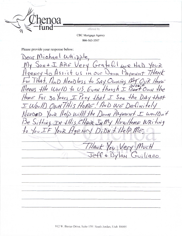**CBC Mortgage Agency** 866-563-3507

offered by

Please provide your response below:

Dear Michael Whipple lery Grateful we ARE  $2044$ Assist us in our gency WOWN PAYMEN For IHAt. HHD NeeDless to SAY OWNING M to US. Even though I Don't Own the Means the World For 30 Years I Pray that I  $H$ om $c$  $See the D$  $+h$ rt  $AY$ THIS HOME! HAD WE Definitely  $\overline{1}$  $\sqrt{2\nu}$  $e/D$  with the  $=$   $\omega$ oulDNt Joury PAYMENT EEDED  $b\nu R$  $15e$ Sitting IN this CHAIR IN MY NEWI HOME WRITING  $10 \sqrt{60}$ gency DiDN+ YouR  $\epsilon$ HAN Very  $11$ <sub>VC</sub>H  $QnQ$ tut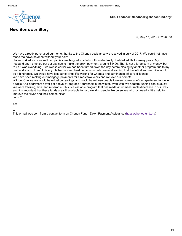

Fri, May 17, 2019 at 2:26 PM

We have already purchased our home, thanks to the Chenoa assistance we received in July of 2017. We could not have made the down payment without your help!

I have worked for non-profit companies teaching art to adults with intellectually disabled adults for many years. My husband and I emptied out our savings to make the down payment, around \$1400. That is not a large sum of money, but to us it was everything. Two weeks earlier we had been turned down the day before closing by another program due to my husband's lack of credit history. He had worked hard not to incur debt, never dreaming that that effort and sacrifice would be a hindrance. We would have lost our savings if it weren't for Chenoa and our finance officer's diligence. We have been making our mortgage payments for almost two years and we love our home!!!

Without Chenoa we would have lost our savings and would have been unable to even move out of our apartment for quite a while. Our apartment never got above 54 degrees Fahrenheit in the winter, even with two heaters running continuously. We were freezing, sick, and miserable. This is a valuable program that has made an immeasurable difference in our lives and It is important that these funds are still available to hard working people like ourselves who just need a little help to improve their lives and their communities.

Jann G

Yes

--

This e-mail was sent from a contact form on Chenoa Fund - Down Payment Assistance ([https://chenoafund.org\)](https://chenoafund.org/)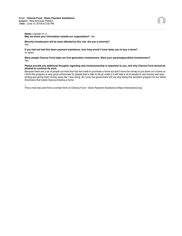## **Name:** Leander H. Jr

**May we share your information outside our organization?:** Yes

**Minority homebuyers will be most affected by this rule. Are you a minority?** Yes

**If you had not had this down payment assistance, how long would it have taken you to buy a home?** 3+ years

**Many people Chenoa Fund helps are first generation homeowners. Were your parents/guardians homeowners?** Yes

## **Please provide any additional thoughts regarding why homeownership is important to you, and why Chenoa Fund should be allowed to continue its work.**

Because there are a lot of people out here that has the credit to purchase a home but don't have the money to put down on a home so I think this program is very good unfortunate for people that is able to be up under it it will help a lot of people to own homes and stop renting and giving them money away like I was doing. So I pray the government will not stop doing this assistant program for our fellow Americans that needs help purchasing a home.

--

This e-mail was sent from a contact form on Chenoa Fund - Down Payment Assistance (https://chenoafund.org)